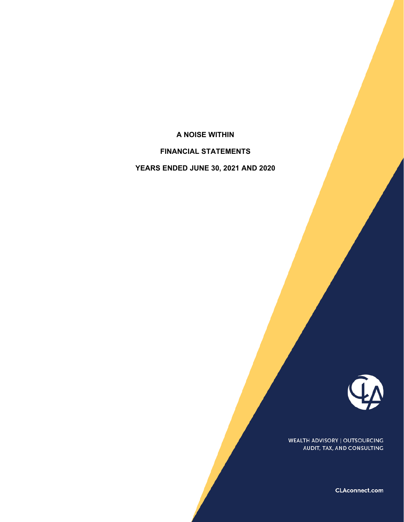# **A NOISE WITHIN**

**FINANCIAL STATEMENTS** 

**YEARS ENDED JUNE 30, 2021 AND 2020** 



WEALTH ADVISORY | OUTSOURCING AUDIT, TAX, AND CONSULTING

CLAconnect.com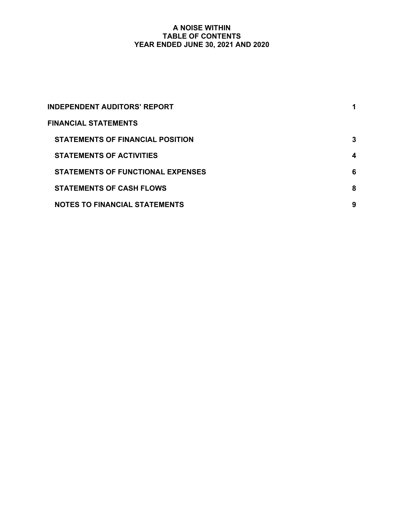# **A NOISE WITHIN TABLE OF CONTENTS YEAR ENDED JUNE 30, 2021 AND 2020**

| <b>INDEPENDENT AUDITORS' REPORT</b>      |   |
|------------------------------------------|---|
| <b>FINANCIAL STATEMENTS</b>              |   |
| <b>STATEMENTS OF FINANCIAL POSITION</b>  | 3 |
| <b>STATEMENTS OF ACTIVITIES</b>          | 4 |
| <b>STATEMENTS OF FUNCTIONAL EXPENSES</b> | 6 |
| <b>STATEMENTS OF CASH FLOWS</b>          | 8 |
| <b>NOTES TO FINANCIAL STATEMENTS</b>     | 9 |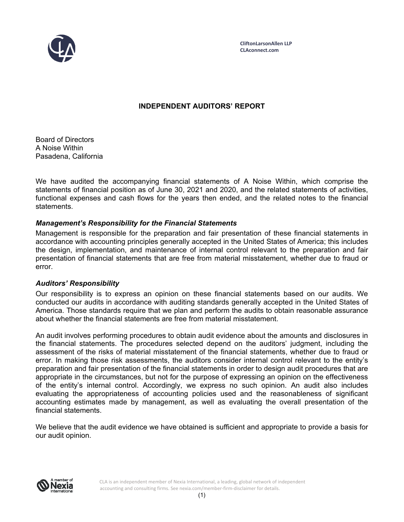

**CliftonLarsonAllen LLP CLAconnect.com**

# **INDEPENDENT AUDITORS' REPORT**

Board of Directors A Noise Within Pasadena, California

We have audited the accompanying financial statements of A Noise Within, which comprise the statements of financial position as of June 30, 2021 and 2020, and the related statements of activities, functional expenses and cash flows for the years then ended, and the related notes to the financial statements.

# *Management's Responsibility for the Financial Statements*

Management is responsible for the preparation and fair presentation of these financial statements in accordance with accounting principles generally accepted in the United States of America; this includes the design, implementation, and maintenance of internal control relevant to the preparation and fair presentation of financial statements that are free from material misstatement, whether due to fraud or error.

# *Auditors' Responsibility*

Our responsibility is to express an opinion on these financial statements based on our audits. We conducted our audits in accordance with auditing standards generally accepted in the United States of America. Those standards require that we plan and perform the audits to obtain reasonable assurance about whether the financial statements are free from material misstatement.

An audit involves performing procedures to obtain audit evidence about the amounts and disclosures in the financial statements. The procedures selected depend on the auditors' judgment, including the assessment of the risks of material misstatement of the financial statements, whether due to fraud or error. In making those risk assessments, the auditors consider internal control relevant to the entity's preparation and fair presentation of the financial statements in order to design audit procedures that are appropriate in the circumstances, but not for the purpose of expressing an opinion on the effectiveness of the entity's internal control. Accordingly, we express no such opinion. An audit also includes evaluating the appropriateness of accounting policies used and the reasonableness of significant accounting estimates made by management, as well as evaluating the overall presentation of the financial statements.

We believe that the audit evidence we have obtained is sufficient and appropriate to provide a basis for our audit opinion.



CLA is an independent member of Nexia International, a leading, global network of independent accounting and consulting firms. See nexia.com/member‐firm‐disclaimer for details.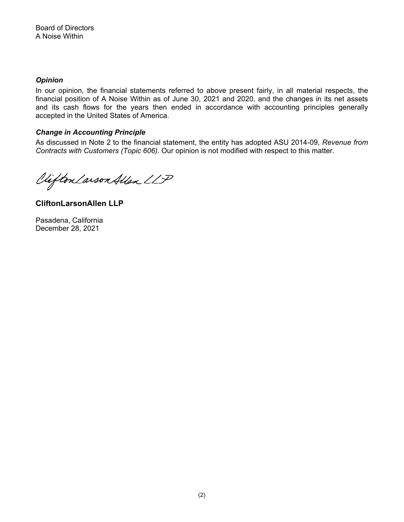# *Opinion*

In our opinion, the financial statements referred to above present fairly, in all material respects, the financial position of A Noise Within as of June 30, 2021 and 2020, and the changes in its net assets and its cash flows for the years then ended in accordance with accounting principles generally accepted in the United States of America.

# *Change in Accounting Principle*

As discussed in Note 2 to the financial statement, the entity has adopted ASU 2014-09, *Revenue from Contracts with Customers (Topic 606)*. Our opinion is not modified with respect to this matter.

Viifton Larson Allen LLP

**CliftonLarsonAllen LLP** 

Pasadena, California December 28, 2021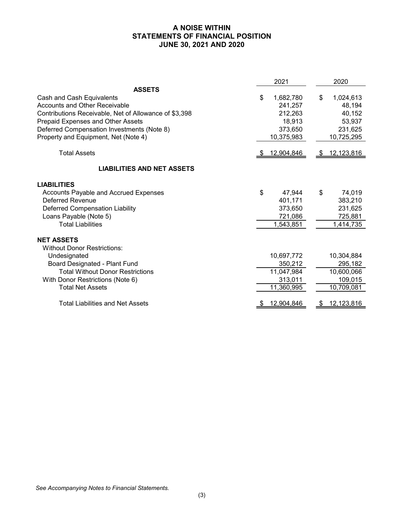# **A NOISE WITHIN STATEMENTS OF FINANCIAL POSITION JUNE 30, 2021 AND 2020**

|                                                       | 2021 |            |    | 2020       |
|-------------------------------------------------------|------|------------|----|------------|
| <b>ASSETS</b>                                         |      |            |    |            |
| Cash and Cash Equivalents                             | \$   | 1,682,780  | \$ | 1,024,613  |
| <b>Accounts and Other Receivable</b>                  |      | 241,257    |    | 48,194     |
| Contributions Receivable, Net of Allowance of \$3,398 |      | 212,263    |    | 40,152     |
| Prepaid Expenses and Other Assets                     |      | 18,913     |    | 53,937     |
| Deferred Compensation Investments (Note 8)            |      | 373,650    |    | 231,625    |
| Property and Equipment, Net (Note 4)                  |      | 10,375,983 |    | 10,725,295 |
| <b>Total Assets</b>                                   | - \$ | 12,904,846 | -5 | 12,123,816 |
| <b>LIABILITIES AND NET ASSETS</b>                     |      |            |    |            |
| <b>LIABILITIES</b>                                    |      |            |    |            |
| Accounts Payable and Accrued Expenses                 | \$   | 47,944     | \$ | 74,019     |
| <b>Deferred Revenue</b>                               |      | 401,171    |    | 383,210    |
| Deferred Compensation Liability                       |      | 373,650    |    | 231,625    |
| Loans Payable (Note 5)                                |      | 721,086    |    | 725,881    |
| <b>Total Liabilities</b>                              |      | 1,543,851  |    | 1,414,735  |
| <b>NET ASSETS</b>                                     |      |            |    |            |
| <b>Without Donor Restrictions:</b>                    |      |            |    |            |
| Undesignated                                          |      | 10,697,772 |    | 10,304,884 |
| Board Designated - Plant Fund                         |      | 350,212    |    | 295,182    |
| <b>Total Without Donor Restrictions</b>               |      | 11,047,984 |    | 10,600,066 |
| With Donor Restrictions (Note 6)                      |      | 313,011    |    | 109,015    |
| <b>Total Net Assets</b>                               |      | 11,360,995 |    | 10,709,081 |
| <b>Total Liabilities and Net Assets</b>               |      | 12,904,846 |    | 12,123,816 |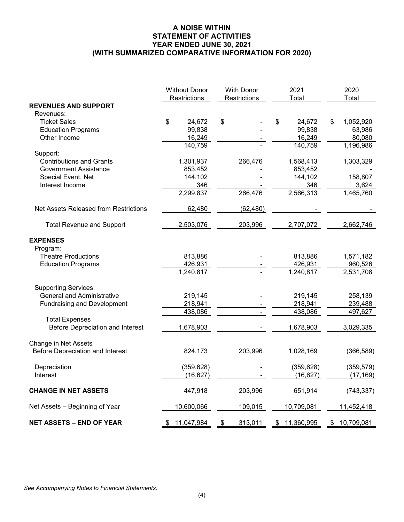### **A NOISE WITHIN STATEMENT OF ACTIVITIES YEAR ENDED JUNE 30, 2021 (WITH SUMMARIZED COMPARATIVE INFORMATION FOR 2020)**

|                                         | <b>Without Donor</b>   | With Donor    | 2021             | 2020             |
|-----------------------------------------|------------------------|---------------|------------------|------------------|
| <b>REVENUES AND SUPPORT</b>             | Restrictions           | Restrictions  | Total            | Total            |
| Revenues:                               |                        |               |                  |                  |
| <b>Ticket Sales</b>                     | \$<br>24,672           | \$            | \$<br>24,672     | \$<br>1,052,920  |
| <b>Education Programs</b>               | 99,838                 |               | 99,838           | 63,986           |
| Other Income                            | 16,249                 |               | 16,249           | 80,080           |
|                                         | 140,759                |               | 140,759          | 1,196,986        |
| Support:                                |                        |               |                  |                  |
| <b>Contributions and Grants</b>         | 1,301,937              | 266,476       | 1,568,413        | 1,303,329        |
| <b>Government Assistance</b>            | 853,452                |               | 853,452          |                  |
| Special Event, Net                      | 144,102                |               | 144,102          | 158,807          |
| Interest Income                         | 346                    |               | 346              | 3,624            |
|                                         | 2,299,837              | 266,476       | 2,566,313        | 1,465,760        |
| Net Assets Released from Restrictions   | 62,480                 | (62, 480)     |                  |                  |
| <b>Total Revenue and Support</b>        | 2,503,076              | 203,996       | 2,707,072        | 2,662,746        |
| <b>EXPENSES</b>                         |                        |               |                  |                  |
| Program:                                |                        |               |                  |                  |
| <b>Theatre Productions</b>              | 813,886                |               | 813,886          | 1,571,182        |
| <b>Education Programs</b>               | 426,931                |               | 426,931          | 960,526          |
|                                         | $\overline{1,240,817}$ |               | 1,240,817        | 2,531,708        |
| <b>Supporting Services:</b>             |                        |               |                  |                  |
| <b>General and Administrative</b>       | 219,145                |               | 219,145          | 258,139          |
| <b>Fundraising and Development</b>      | 218,941                |               | 218,941          | 239,488          |
|                                         | 438,086                |               | 438,086          | 497,627          |
| <b>Total Expenses</b>                   |                        |               |                  |                  |
| <b>Before Depreciation and Interest</b> | 1,678,903              |               | 1,678,903        | 3,029,335        |
| Change in Net Assets                    |                        |               |                  |                  |
| <b>Before Depreciation and Interest</b> | 824,173                | 203,996       | 1,028,169        | (366, 589)       |
| Depreciation                            | (359, 628)             |               | (359, 628)       | (359, 579)       |
| Interest                                | (16, 627)              |               | (16, 627)        | (17, 169)        |
| <b>CHANGE IN NET ASSETS</b>             | 447,918                | 203,996       | 651,914          | (743, 337)       |
| Net Assets - Beginning of Year          | 10,600,066             | 109,015       | 10,709,081       | 11,452,418       |
| <b>NET ASSETS - END OF YEAR</b>         | 11,047,984<br>\$       | 313,011<br>\$ | 11,360,995<br>\$ | 10,709,081<br>\$ |

*See Accompanying Notes to Financial Statements.*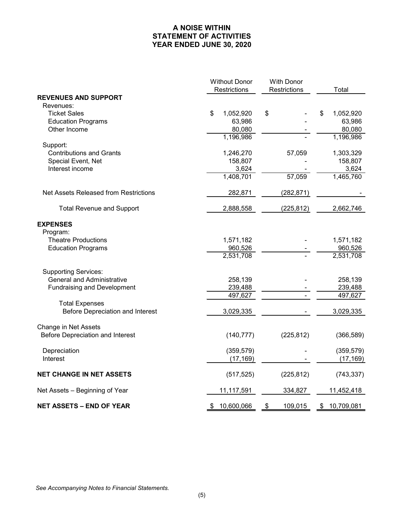# **A NOISE WITHIN STATEMENT OF ACTIVITIES YEAR ENDED JUNE 30, 2020**

|                                                         | <b>Without Donor</b> |    | <b>With Donor</b> |    |                      |  |
|---------------------------------------------------------|----------------------|----|-------------------|----|----------------------|--|
|                                                         | Restrictions         |    | Restrictions      |    | Total                |  |
| <b>REVENUES AND SUPPORT</b>                             |                      |    |                   |    |                      |  |
| Revenues:<br><b>Ticket Sales</b>                        | \$<br>1,052,920      | \$ |                   | \$ | 1,052,920            |  |
| <b>Education Programs</b>                               | 63,986               |    |                   |    | 63,986               |  |
| Other Income                                            | 80,080               |    |                   |    | 80,080               |  |
|                                                         | 1,196,986            |    |                   |    | 1,196,986            |  |
| Support:                                                |                      |    |                   |    |                      |  |
| <b>Contributions and Grants</b>                         | 1,246,270            |    | 57,059            |    | 1,303,329            |  |
| Special Event, Net                                      | 158,807              |    |                   |    | 158,807              |  |
| Interest income                                         | 3,624                |    |                   |    | 3,624                |  |
|                                                         | 1,408,701            |    | 57,059            |    | 1,465,760            |  |
| Net Assets Released from Restrictions                   | 282,871              |    | (282, 871)        |    |                      |  |
| <b>Total Revenue and Support</b>                        | 2,888,558            |    | (225, 812)        |    | 2,662,746            |  |
| <b>EXPENSES</b>                                         |                      |    |                   |    |                      |  |
| Program:                                                |                      |    |                   |    |                      |  |
| <b>Theatre Productions</b><br><b>Education Programs</b> | 1,571,182            |    |                   |    | 1,571,182            |  |
|                                                         | 960,526<br>2,531,708 |    |                   |    | 960,526<br>2,531,708 |  |
| <b>Supporting Services:</b>                             |                      |    |                   |    |                      |  |
| <b>General and Administrative</b>                       | 258,139              |    |                   |    | 258,139              |  |
| <b>Fundraising and Development</b>                      | 239,488              |    |                   |    | 239,488              |  |
|                                                         | 497,627              |    |                   |    | 497,627              |  |
| <b>Total Expenses</b>                                   |                      |    |                   |    |                      |  |
| Before Depreciation and Interest                        | 3,029,335            |    |                   |    | 3,029,335            |  |
| Change in Net Assets                                    |                      |    |                   |    |                      |  |
| Before Depreciation and Interest                        | (140, 777)           |    | (225, 812)        |    | (366, 589)           |  |
| Depreciation                                            | (359, 579)           |    |                   |    | (359, 579)           |  |
| Interest                                                | (17, 169)            |    |                   |    | (17, 169)            |  |
| <b>NET CHANGE IN NET ASSETS</b>                         | (517, 525)           |    | (225, 812)        |    | (743, 337)           |  |
| Net Assets - Beginning of Year                          | 11,117,591           |    | 334,827           |    | 11,452,418           |  |
| <b>NET ASSETS - END OF YEAR</b>                         | 10,600,066           | \$ | 109,015           | \$ | 10,709,081           |  |

*See Accompanying Notes to Financial Statements.*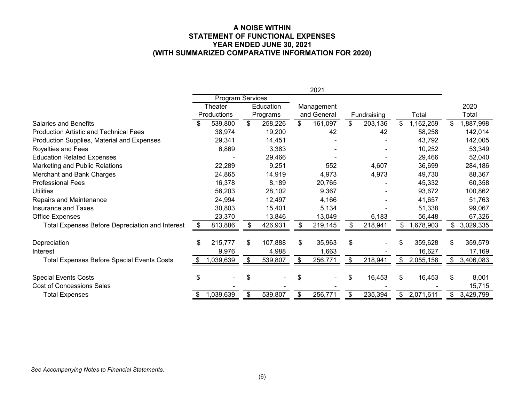#### **A NOISE WITHIN STATEMENT OF FUNCTIONAL EXPENSES YEAR ENDED JUNE 30, 2021 (WITH SUMMARIZED COMPARATIVE INFORMATION FOR 2020)**

|                                                        | 2021           |             |                  |          |            |             |     |             |    |           |    |           |
|--------------------------------------------------------|----------------|-------------|------------------|----------|------------|-------------|-----|-------------|----|-----------|----|-----------|
|                                                        |                |             | Program Services |          |            |             |     |             |    |           |    |           |
|                                                        | <b>Theater</b> |             | Education        |          | Management |             |     |             |    |           |    | 2020      |
|                                                        |                | Productions |                  | Programs |            | and General |     | Fundraising |    | Total     |    | Total     |
| <b>Salaries and Benefits</b>                           |                | 539,800     | \$               | 258,226  | \$         | 161,097     | \$  | 203,136     | \$ | 1,162,259 | \$ | ,887,998  |
| <b>Production Artistic and Technical Fees</b>          |                | 38,974      |                  | 19,200   |            | 42          |     | 42          |    | 58,258    |    | 142,014   |
| Production Supplies, Material and Expenses             |                | 29,341      |                  | 14,451   |            |             |     |             |    | 43,792    |    | 142,005   |
| Royalties and Fees                                     |                | 6,869       |                  | 3,383    |            |             |     |             |    | 10,252    |    | 53,349    |
| <b>Education Related Expenses</b>                      |                |             |                  | 29,466   |            |             |     |             |    | 29,466    |    | 52,040    |
| Marketing and Public Relations                         |                | 22,289      |                  | 9,251    |            | 552         |     | 4,607       |    | 36,699    |    | 284,186   |
| Merchant and Bank Charges                              |                | 24,865      |                  | 14,919   |            | 4,973       |     | 4,973       |    | 49,730    |    | 88,367    |
| <b>Professional Fees</b>                               |                | 16,378      |                  | 8,189    |            | 20,765      |     |             |    | 45,332    |    | 60,358    |
| <b>Utilities</b>                                       |                | 56,203      |                  | 28,102   |            | 9,367       |     |             |    | 93,672    |    | 100,862   |
| Repairs and Maintenance                                |                | 24,994      |                  | 12,497   |            | 4,166       |     |             |    | 41,657    |    | 51,763    |
| Insurance and Taxes                                    |                | 30,803      |                  | 15,401   |            | 5,134       |     |             |    | 51,338    |    | 99,067    |
| <b>Office Expenses</b>                                 |                | 23,370      |                  | 13,846   |            | 13,049      |     | 6,183       |    | 56,448    |    | 67,326    |
| <b>Total Expenses Before Depreciation and Interest</b> | S              | 813,886     |                  | 426,931  |            | 219,145     | \$. | 218,941     |    | 1,678,903 |    | 3,029,335 |
| Depreciation                                           | \$             | 215,777     | \$               | 107,888  | \$         | 35,963      | \$  |             | \$ | 359,628   | \$ | 359,579   |
| Interest                                               |                | 9,976       |                  | 4,988    |            | 1,663       |     |             |    | 16,627    |    | 17,169    |
| <b>Total Expenses Before Special Events Costs</b>      |                | 1,039,639   |                  | 539,807  |            | 256,771     | \$  | 218,941     |    | 2,055,158 | \$ | 3,406,083 |
| <b>Special Events Costs</b>                            | \$             |             | S                |          | \$         |             | \$  | 16,453      | \$ | 16,453    | \$ | 8,001     |
| <b>Cost of Concessions Sales</b>                       |                |             |                  |          |            |             |     |             |    |           |    | 15,715    |
| <b>Total Expenses</b>                                  |                | 1,039,639   | \$               | 539,807  | \$         | 256,771     |     | 235,394     | \$ | 2,071,611 | \$ | 3,429,799 |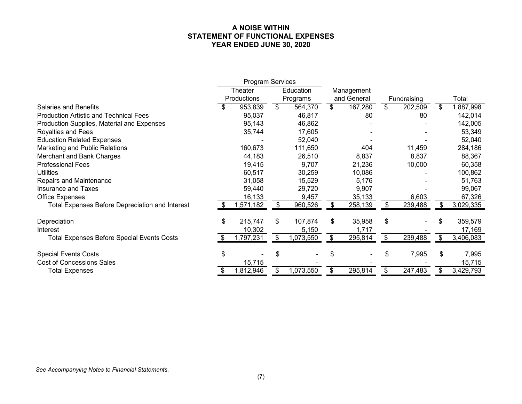### **A NOISE WITHIN STATEMENT OF FUNCTIONAL EXPENSES YEAR ENDED JUNE 30, 2020**

|                                                        | <b>Program Services</b> |           |              |           |    |             |               |             |     |           |  |
|--------------------------------------------------------|-------------------------|-----------|--------------|-----------|----|-------------|---------------|-------------|-----|-----------|--|
|                                                        | Theater                 |           |              | Education |    | Management  |               |             |     |           |  |
|                                                        | Productions             |           | Programs     |           |    | and General |               | Fundraising |     | Total     |  |
| <b>Salaries and Benefits</b>                           |                         | 953,839   | $\mathbb{S}$ | 564,370   | \$ | 167,280     | \$            | 202,509     | \$  | 1,887,998 |  |
| <b>Production Artistic and Technical Fees</b>          |                         | 95,037    |              | 46,817    |    | 80          |               | 80          |     | 142,014   |  |
| Production Supplies, Material and Expenses             |                         | 95,143    |              | 46,862    |    |             |               |             |     | 142,005   |  |
| Royalties and Fees                                     |                         | 35,744    |              | 17,605    |    |             |               |             |     | 53,349    |  |
| <b>Education Related Expenses</b>                      |                         |           |              | 52,040    |    |             |               |             |     | 52,040    |  |
| Marketing and Public Relations                         |                         | 160,673   |              | 111,650   |    | 404         |               | 11,459      |     | 284,186   |  |
| Merchant and Bank Charges                              |                         | 44,183    |              | 26,510    |    | 8,837       |               | 8,837       |     | 88,367    |  |
| <b>Professional Fees</b>                               |                         | 19,415    |              | 9,707     |    | 21,236      |               | 10,000      |     | 60,358    |  |
| <b>Utilities</b>                                       |                         | 60,517    |              | 30,259    |    | 10,086      |               |             |     | 100,862   |  |
| Repairs and Maintenance                                |                         | 31,058    |              | 15,529    |    | 5,176       |               |             |     | 51,763    |  |
| Insurance and Taxes                                    |                         | 59,440    |              | 29,720    |    | 9,907       |               |             |     | 99,067    |  |
| <b>Office Expenses</b>                                 |                         | 16,133    |              | 9,457     |    | 35,133      |               | 6,603       |     | 67,326    |  |
| <b>Total Expenses Before Depreciation and Interest</b> | - \$                    | ,571,182  | S.           | 960,526   | S. | 258,139     | \$            | 239,488     | S   | 3,029,335 |  |
| Depreciation                                           | \$                      | 215,747   | \$           | 107,874   | \$ | 35,958      | \$            |             | \$. | 359,579   |  |
| Interest                                               |                         | 10,302    |              | 5,150     |    | 1,717       |               |             |     | 17,169    |  |
| <b>Total Expenses Before Special Events Costs</b>      |                         | ,797,231  | \$.          | ,073,550  |    | 295,814     | \$            | 239,488     |     | 3,406,083 |  |
| <b>Special Events Costs</b>                            | \$                      |           | S            |           | \$ |             | \$            | 7,995       | \$  | 7,995     |  |
| <b>Cost of Concessions Sales</b>                       |                         | 15,715    |              |           |    |             |               |             |     | 15,715    |  |
| <b>Total Expenses</b>                                  |                         | 1,812,946 | S.           | 1,073,550 | \$ | 295,814     | $\frac{1}{2}$ | 247,483     | \$  | 3,429,793 |  |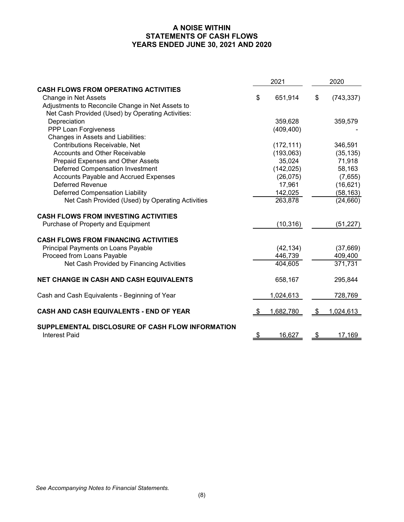# **A NOISE WITHIN STATEMENTS OF CASH FLOWS YEARS ENDED JUNE 30, 2021 AND 2020**

|                                                                          |    | 2021       | 2020 |            |  |
|--------------------------------------------------------------------------|----|------------|------|------------|--|
| <b>CASH FLOWS FROM OPERATING ACTIVITIES</b>                              |    |            |      |            |  |
| Change in Net Assets                                                     | \$ | 651,914    | \$   | (743, 337) |  |
| Adjustments to Reconcile Change in Net Assets to                         |    |            |      |            |  |
| Net Cash Provided (Used) by Operating Activities:                        |    |            |      |            |  |
| Depreciation                                                             |    | 359,628    |      | 359,579    |  |
| PPP Loan Forgiveness                                                     |    | (409, 400) |      |            |  |
| Changes in Assets and Liabilities:                                       |    |            |      |            |  |
| Contributions Receivable, Net                                            |    | (172, 111) |      | 346,591    |  |
| <b>Accounts and Other Receivable</b>                                     |    | (193,063)  |      | (35, 135)  |  |
| Prepaid Expenses and Other Assets                                        |    | 35,024     |      | 71,918     |  |
| <b>Deferred Compensation Investment</b>                                  |    | (142, 025) |      | 58,163     |  |
| <b>Accounts Payable and Accrued Expenses</b>                             |    | (26, 075)  |      | (7,655)    |  |
| <b>Deferred Revenue</b>                                                  |    | 17,961     |      | (16, 621)  |  |
| <b>Deferred Compensation Liability</b>                                   |    | 142,025    |      | (58, 163)  |  |
| Net Cash Provided (Used) by Operating Activities                         |    | 263,878    |      | (24, 660)  |  |
| <b>CASH FLOWS FROM INVESTING ACTIVITIES</b>                              |    |            |      |            |  |
| Purchase of Property and Equipment                                       |    | (10, 316)  |      | (51, 227)  |  |
| <b>CASH FLOWS FROM FINANCING ACTIVITIES</b>                              |    |            |      |            |  |
| Principal Payments on Loans Payable                                      |    | (42, 134)  |      | (37,669)   |  |
| Proceed from Loans Payable                                               |    | 446,739    |      | 409,400    |  |
| Net Cash Provided by Financing Activities                                |    | 404,605    |      | 371,731    |  |
| <b>NET CHANGE IN CASH AND CASH EQUIVALENTS</b>                           |    | 658,167    |      | 295,844    |  |
| Cash and Cash Equivalents - Beginning of Year                            |    | 1,024,613  |      | 728,769    |  |
| CASH AND CASH EQUIVALENTS - END OF YEAR                                  |    | 1,682,780  | -5   | 1,024,613  |  |
| SUPPLEMENTAL DISCLOSURE OF CASH FLOW INFORMATION<br><b>Interest Paid</b> | \$ | 16,627     | \$   | 17,169     |  |

*See Accompanying Notes to Financial Statements.*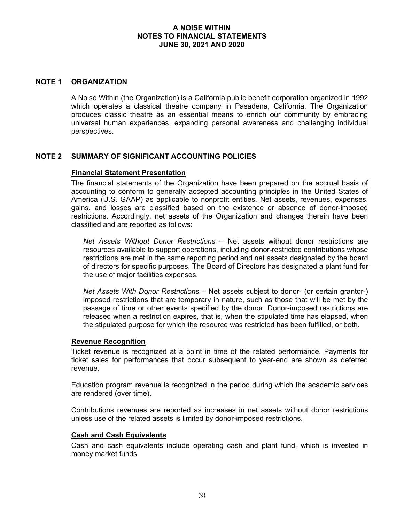#### **NOTE 1 ORGANIZATION**

A Noise Within (the Organization) is a California public benefit corporation organized in 1992 which operates a classical theatre company in Pasadena, California. The Organization produces classic theatre as an essential means to enrich our community by embracing universal human experiences, expanding personal awareness and challenging individual perspectives.

#### **NOTE 2 SUMMARY OF SIGNIFICANT ACCOUNTING POLICIES**

#### **Financial Statement Presentation**

The financial statements of the Organization have been prepared on the accrual basis of accounting to conform to generally accepted accounting principles in the United States of America (U.S. GAAP) as applicable to nonprofit entities. Net assets, revenues, expenses, gains, and losses are classified based on the existence or absence of donor-imposed restrictions. Accordingly, net assets of the Organization and changes therein have been classified and are reported as follows:

*Net Assets Without Donor Restrictions* – Net assets without donor restrictions are resources available to support operations, including donor-restricted contributions whose restrictions are met in the same reporting period and net assets designated by the board of directors for specific purposes. The Board of Directors has designated a plant fund for the use of major facilities expenses.

*Net Assets With Donor Restrictions* – Net assets subject to donor- (or certain grantor-) imposed restrictions that are temporary in nature, such as those that will be met by the passage of time or other events specified by the donor. Donor-imposed restrictions are released when a restriction expires, that is, when the stipulated time has elapsed, when the stipulated purpose for which the resource was restricted has been fulfilled, or both.

#### **Revenue Recognition**

Ticket revenue is recognized at a point in time of the related performance. Payments for ticket sales for performances that occur subsequent to year-end are shown as deferred revenue.

Education program revenue is recognized in the period during which the academic services are rendered (over time).

Contributions revenues are reported as increases in net assets without donor restrictions unless use of the related assets is limited by donor-imposed restrictions.

#### **Cash and Cash Equivalents**

Cash and cash equivalents include operating cash and plant fund, which is invested in money market funds.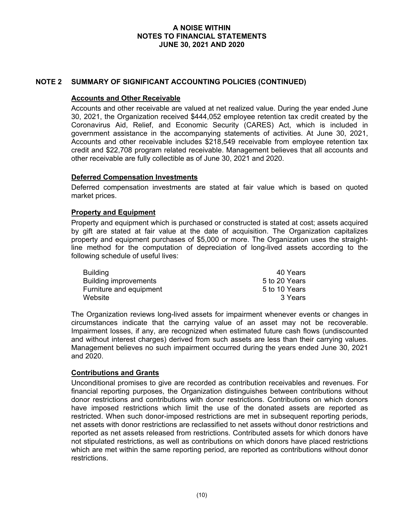## **NOTE 2 SUMMARY OF SIGNIFICANT ACCOUNTING POLICIES (CONTINUED)**

#### **Accounts and Other Receivable**

Accounts and other receivable are valued at net realized value. During the year ended June 30, 2021, the Organization received \$444,052 employee retention tax credit created by the Coronavirus Aid, Relief, and Economic Security (CARES) Act, which is included in government assistance in the accompanying statements of activities. At June 30, 2021, Accounts and other receivable includes \$218,549 receivable from employee retention tax credit and \$22,708 program related receivable. Management believes that all accounts and other receivable are fully collectible as of June 30, 2021 and 2020.

#### **Deferred Compensation Investments**

Deferred compensation investments are stated at fair value which is based on quoted market prices.

#### **Property and Equipment**

Property and equipment which is purchased or constructed is stated at cost; assets acquired by gift are stated at fair value at the date of acquisition. The Organization capitalizes property and equipment purchases of \$5,000 or more. The Organization uses the straightline method for the computation of depreciation of long-lived assets according to the following schedule of useful lives:

| <b>Building</b>              | 40 Years      |
|------------------------------|---------------|
| <b>Building improvements</b> | 5 to 20 Years |
| Furniture and equipment      | 5 to 10 Years |
| Website                      | 3 Years       |

The Organization reviews long-lived assets for impairment whenever events or changes in circumstances indicate that the carrying value of an asset may not be recoverable. Impairment losses, if any, are recognized when estimated future cash flows (undiscounted and without interest charges) derived from such assets are less than their carrying values. Management believes no such impairment occurred during the years ended June 30, 2021 and 2020.

#### **Contributions and Grants**

Unconditional promises to give are recorded as contribution receivables and revenues. For financial reporting purposes, the Organization distinguishes between contributions without donor restrictions and contributions with donor restrictions. Contributions on which donors have imposed restrictions which limit the use of the donated assets are reported as restricted. When such donor-imposed restrictions are met in subsequent reporting periods, net assets with donor restrictions are reclassified to net assets without donor restrictions and reported as net assets released from restrictions. Contributed assets for which donors have not stipulated restrictions, as well as contributions on which donors have placed restrictions which are met within the same reporting period, are reported as contributions without donor restrictions.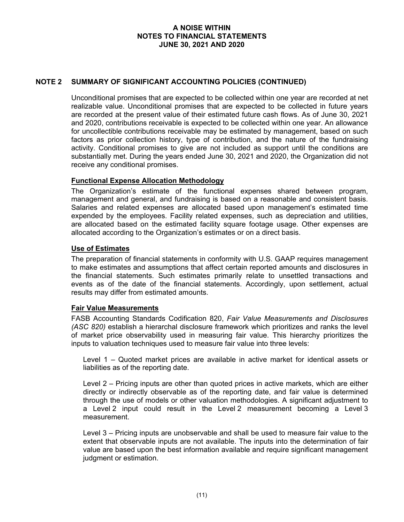## **NOTE 2 SUMMARY OF SIGNIFICANT ACCOUNTING POLICIES (CONTINUED)**

Unconditional promises that are expected to be collected within one year are recorded at net realizable value. Unconditional promises that are expected to be collected in future years are recorded at the present value of their estimated future cash flows. As of June 30, 2021 and 2020, contributions receivable is expected to be collected within one year. An allowance for uncollectible contributions receivable may be estimated by management, based on such factors as prior collection history, type of contribution, and the nature of the fundraising activity. Conditional promises to give are not included as support until the conditions are substantially met. During the years ended June 30, 2021 and 2020, the Organization did not receive any conditional promises.

### **Functional Expense Allocation Methodology**

The Organization's estimate of the functional expenses shared between program, management and general, and fundraising is based on a reasonable and consistent basis. Salaries and related expenses are allocated based upon management's estimated time expended by the employees. Facility related expenses, such as depreciation and utilities, are allocated based on the estimated facility square footage usage. Other expenses are allocated according to the Organization's estimates or on a direct basis.

### **Use of Estimates**

The preparation of financial statements in conformity with U.S. GAAP requires management to make estimates and assumptions that affect certain reported amounts and disclosures in the financial statements. Such estimates primarily relate to unsettled transactions and events as of the date of the financial statements. Accordingly, upon settlement, actual results may differ from estimated amounts.

#### **Fair Value Measurements**

FASB Accounting Standards Codification 820, *Fair Value Measurements and Disclosures (ASC 820)* establish a hierarchal disclosure framework which prioritizes and ranks the level of market price observability used in measuring fair value. This hierarchy prioritizes the inputs to valuation techniques used to measure fair value into three levels:

Level 1 – Quoted market prices are available in active market for identical assets or liabilities as of the reporting date.

Level 2 – Pricing inputs are other than quoted prices in active markets, which are either directly or indirectly observable as of the reporting date, and fair value is determined through the use of models or other valuation methodologies. A significant adjustment to a Level 2 input could result in the Level 2 measurement becoming a Level 3 measurement.

Level 3 – Pricing inputs are unobservable and shall be used to measure fair value to the extent that observable inputs are not available. The inputs into the determination of fair value are based upon the best information available and require significant management judgment or estimation.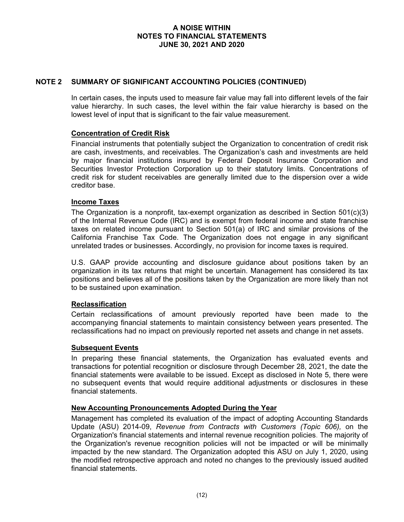### **NOTE 2 SUMMARY OF SIGNIFICANT ACCOUNTING POLICIES (CONTINUED)**

In certain cases, the inputs used to measure fair value may fall into different levels of the fair value hierarchy. In such cases, the level within the fair value hierarchy is based on the lowest level of input that is significant to the fair value measurement.

### **Concentration of Credit Risk**

Financial instruments that potentially subject the Organization to concentration of credit risk are cash, investments, and receivables. The Organization's cash and investments are held by major financial institutions insured by Federal Deposit Insurance Corporation and Securities Investor Protection Corporation up to their statutory limits. Concentrations of credit risk for student receivables are generally limited due to the dispersion over a wide creditor base.

#### **Income Taxes**

The Organization is a nonprofit, tax-exempt organization as described in Section  $501(c)(3)$ of the Internal Revenue Code (IRC) and is exempt from federal income and state franchise taxes on related income pursuant to Section 501(a) of IRC and similar provisions of the California Franchise Tax Code. The Organization does not engage in any significant unrelated trades or businesses. Accordingly, no provision for income taxes is required.

U.S. GAAP provide accounting and disclosure guidance about positions taken by an organization in its tax returns that might be uncertain. Management has considered its tax positions and believes all of the positions taken by the Organization are more likely than not to be sustained upon examination.

# **Reclassification**

Certain reclassifications of amount previously reported have been made to the accompanying financial statements to maintain consistency between years presented. The reclassifications had no impact on previously reported net assets and change in net assets.

#### **Subsequent Events**

In preparing these financial statements, the Organization has evaluated events and transactions for potential recognition or disclosure through December 28, 2021, the date the financial statements were available to be issued. Except as disclosed in Note 5, there were no subsequent events that would require additional adjustments or disclosures in these financial statements.

#### **New Accounting Pronouncements Adopted During the Year**

Management has completed its evaluation of the impact of adopting Accounting Standards Update (ASU) 2014-09, *Revenue from Contracts with Customers (Topic 606),* on the Organization's financial statements and internal revenue recognition policies. The majority of the Organization's revenue recognition policies will not be impacted or will be minimally impacted by the new standard. The Organization adopted this ASU on July 1, 2020, using the modified retrospective approach and noted no changes to the previously issued audited financial statements.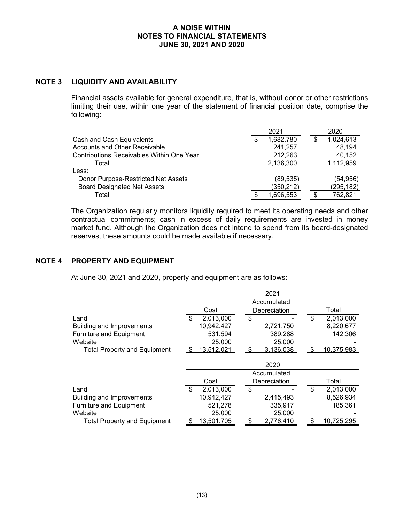# **NOTE 3 LIQUIDITY AND AVAILABILITY**

Financial assets available for general expenditure, that is, without donor or other restrictions limiting their use, within one year of the statement of financial position date, comprise the following:

|                                                  |   | 2021       | 2020            |
|--------------------------------------------------|---|------------|-----------------|
| Cash and Cash Equivalents                        | S | 1,682,780  | \$<br>1,024,613 |
| Accounts and Other Receivable                    |   | 241,257    | 48,194          |
| <b>Contributions Receivables Within One Year</b> |   | 212,263    | 40,152          |
| Total                                            |   | 2,136,300  | 1,112,959       |
| Less:                                            |   |            |                 |
| Donor Purpose-Restricted Net Assets              |   | (89, 535)  | (54, 956)       |
| <b>Board Designated Net Assets</b>               |   | (350, 212) | (295, 182)      |
| Total                                            |   | 1.696.553  | 762.821         |

The Organization regularly monitors liquidity required to meet its operating needs and other contractual commitments; cash in excess of daily requirements are invested in money market fund. Although the Organization does not intend to spend from its board-designated reserves, these amounts could be made available if necessary.

# **NOTE 4 PROPERTY AND EQUIPMENT**

At June 30, 2021 and 2020, property and equipment are as follows:

|                                     | 2021 |                   |  |              |              |  |    |            |  |  |
|-------------------------------------|------|-------------------|--|--------------|--------------|--|----|------------|--|--|
|                                     |      | Accumulated       |  |              |              |  |    |            |  |  |
|                                     |      | Cost              |  | Depreciation |              |  |    | Total      |  |  |
| Land                                | \$   | 2,013,000         |  | \$           |              |  | \$ | 2,013,000  |  |  |
| <b>Building and Improvements</b>    |      | 10,942,427        |  |              | 2,721,750    |  |    | 8,220,677  |  |  |
| <b>Furniture and Equipment</b>      |      | 531,594           |  |              | 389,288      |  |    | 142,306    |  |  |
| Website                             |      | 25,000            |  |              | 25,000       |  |    |            |  |  |
| <b>Total Property and Equipment</b> |      | <u>13,512,021</u> |  |              | 3,136,038    |  |    | 10,375,983 |  |  |
|                                     |      |                   |  |              | 2020         |  |    |            |  |  |
|                                     |      |                   |  |              | Accumulated  |  |    |            |  |  |
|                                     |      | Cost              |  |              | Depreciation |  |    | Total      |  |  |
| Land                                | \$   | 2,013,000         |  | \$           |              |  | \$ | 2,013,000  |  |  |
| <b>Building and Improvements</b>    |      | 10,942,427        |  |              | 2,415,493    |  |    | 8,526,934  |  |  |
| <b>Furniture and Equipment</b>      |      | 521,278           |  |              | 335,917      |  |    | 185,361    |  |  |
| Website                             |      | 25,000            |  |              | 25,000       |  |    |            |  |  |
| <b>Total Property and Equipment</b> |      | 13,501,705        |  |              | 2,776,410    |  |    | 10,725,295 |  |  |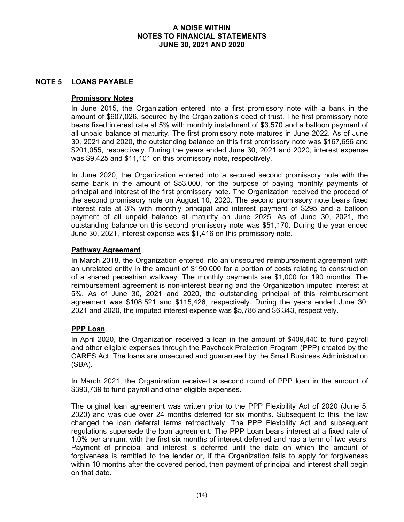### **NOTE 5 LOANS PAYABLE**

#### **Promissory Notes**

In June 2015, the Organization entered into a first promissory note with a bank in the amount of \$607,026, secured by the Organization's deed of trust. The first promissory note bears fixed interest rate at 5% with monthly installment of \$3,570 and a balloon payment of all unpaid balance at maturity. The first promissory note matures in June 2022. As of June 30, 2021 and 2020, the outstanding balance on this first promissory note was \$167,656 and \$201,055, respectively. During the years ended June 30, 2021 and 2020, interest expense was \$9,425 and \$11,101 on this promissory note, respectively.

In June 2020, the Organization entered into a secured second promissory note with the same bank in the amount of \$53,000, for the purpose of paying monthly payments of principal and interest of the first promissory note. The Organization received the proceed of the second promissory note on August 10, 2020. The second promissory note bears fixed interest rate at 3% with monthly principal and interest payment of \$295 and a balloon payment of all unpaid balance at maturity on June 2025. As of June 30, 2021, the outstanding balance on this second promissory note was \$51,170. During the year ended June 30, 2021, interest expense was \$1,416 on this promissory note.

### **Pathway Agreement**

In March 2018, the Organization entered into an unsecured reimbursement agreement with an unrelated entity in the amount of \$190,000 for a portion of costs relating to construction of a shared pedestrian walkway. The monthly payments are \$1,000 for 190 months. The reimbursement agreement is non-interest bearing and the Organization imputed interest at 5%. As of June 30, 2021 and 2020, the outstanding principal of this reimbursement agreement was \$108,521 and \$115,426, respectively. During the years ended June 30, 2021 and 2020, the imputed interest expense was \$5,786 and \$6,343, respectively.

# **PPP Loan**

In April 2020, the Organization received a loan in the amount of \$409,440 to fund payroll and other eligible expenses through the Paycheck Protection Program (PPP) created by the CARES Act. The loans are unsecured and guaranteed by the Small Business Administration (SBA).

In March 2021, the Organization received a second round of PPP loan in the amount of \$393,739 to fund payroll and other eligible expenses.

The original loan agreement was written prior to the PPP Flexibility Act of 2020 (June 5, 2020) and was due over 24 months deferred for six months. Subsequent to this, the law changed the loan deferral terms retroactively. The PPP Flexibility Act and subsequent regulations supersede the loan agreement. The PPP Loan bears interest at a fixed rate of 1.0% per annum, with the first six months of interest deferred and has a term of two years. Payment of principal and interest is deferred until the date on which the amount of forgiveness is remitted to the lender or, if the Organization fails to apply for forgiveness within 10 months after the covered period, then payment of principal and interest shall begin on that date.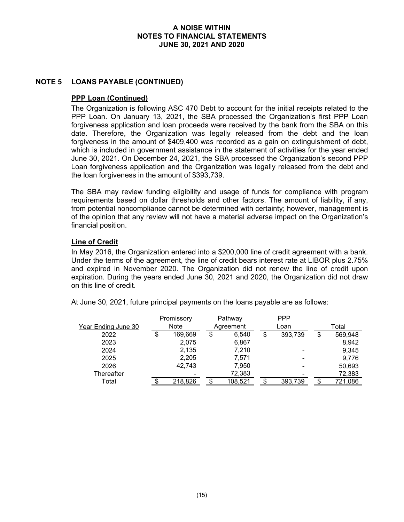## **NOTE 5 LOANS PAYABLE (CONTINUED)**

### **PPP Loan (Continued)**

The Organization is following ASC 470 Debt to account for the initial receipts related to the PPP Loan. On January 13, 2021, the SBA processed the Organization's first PPP Loan forgiveness application and loan proceeds were received by the bank from the SBA on this date. Therefore, the Organization was legally released from the debt and the loan forgiveness in the amount of \$409,400 was recorded as a gain on extinguishment of debt, which is included in government assistance in the statement of activities for the year ended June 30, 2021. On December 24, 2021, the SBA processed the Organization's second PPP Loan forgiveness application and the Organization was legally released from the debt and the loan forgiveness in the amount of \$393,739.

The SBA may review funding eligibility and usage of funds for compliance with program requirements based on dollar thresholds and other factors. The amount of liability, if any, from potential noncompliance cannot be determined with certainty; however, management is of the opinion that any review will not have a material adverse impact on the Organization's financial position.

# **Line of Credit**

In May 2016, the Organization entered into a \$200,000 line of credit agreement with a bank. Under the terms of the agreement, the line of credit bears interest rate at LIBOR plus 2.75% and expired in November 2020. The Organization did not renew the line of credit upon expiration. During the years ended June 30, 2021 and 2020, the Organization did not draw on this line of credit.

At June 30, 2021, future principal payments on the loans payable are as follows:

| Promissory          |    | Pathway     |    | <b>PPP</b> |               |               |
|---------------------|----|-------------|----|------------|---------------|---------------|
| Year Ending June 30 |    | <b>Note</b> |    | Agreement  | Loan          | Total         |
| 2022                | \$ | 169,669     | \$ | 6.540      | \$<br>393,739 | \$<br>569,948 |
| 2023                |    | 2,075       |    | 6,867      |               | 8,942         |
| 2024                |    | 2,135       |    | 7,210      |               | 9,345         |
| 2025                |    | 2,205       |    | 7,571      |               | 9,776         |
| 2026                |    | 42,743      |    | 7,950      |               | 50,693        |
| Thereafter          |    |             |    | 72,383     |               | 72,383        |
| Total               |    | 218,826     |    | 108,521    | 393,739       | 721,086       |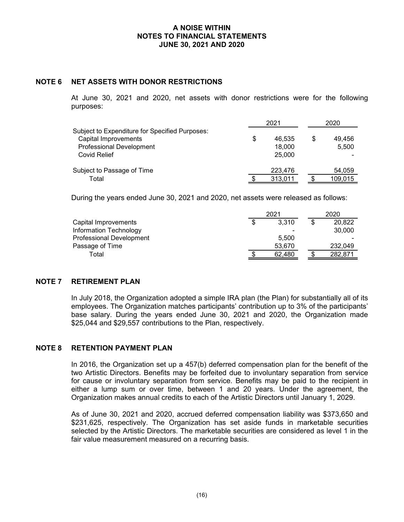#### **NOTE 6 NET ASSETS WITH DONOR RESTRICTIONS**

At June 30, 2021 and 2020, net assets with donor restrictions were for the following purposes:

|                                                | 2021         | 2020 |         |  |
|------------------------------------------------|--------------|------|---------|--|
| Subject to Expenditure for Specified Purposes: |              |      |         |  |
| Capital Improvements                           | \$<br>46.535 |      | 49.456  |  |
| <b>Professional Development</b>                | 18,000       |      | 5,500   |  |
| Covid Relief                                   | 25,000       |      |         |  |
| Subject to Passage of Time                     | 223,476      |      | 54,059  |  |
| Total                                          | 313,011      |      | 109,015 |  |

During the years ended June 30, 2021 and 2020, net assets were released as follows:

|                                 | 2021 |        | 2020 |         |
|---------------------------------|------|--------|------|---------|
| Capital Improvements            |      | 3.310  |      | 20,822  |
| Information Technology          |      |        |      | 30,000  |
| <b>Professional Development</b> |      | 5.500  |      |         |
| Passage of Time                 |      | 53.670 |      | 232.049 |
| Total                           |      | 62.480 |      | 282.871 |

# **NOTE 7 RETIREMENT PLAN**

In July 2018, the Organization adopted a simple IRA plan (the Plan) for substantially all of its employees. The Organization matches participants' contribution up to 3% of the participants' base salary. During the years ended June 30, 2021 and 2020, the Organization made \$25,044 and \$29,557 contributions to the Plan, respectively.

# **NOTE 8 RETENTION PAYMENT PLAN**

In 2016, the Organization set up a 457(b) deferred compensation plan for the benefit of the two Artistic Directors. Benefits may be forfeited due to involuntary separation from service for cause or involuntary separation from service. Benefits may be paid to the recipient in either a lump sum or over time, between 1 and 20 years. Under the agreement, the Organization makes annual credits to each of the Artistic Directors until January 1, 2029.

As of June 30, 2021 and 2020, accrued deferred compensation liability was \$373,650 and \$231,625, respectively. The Organization has set aside funds in marketable securities selected by the Artistic Directors. The marketable securities are considered as level 1 in the fair value measurement measured on a recurring basis.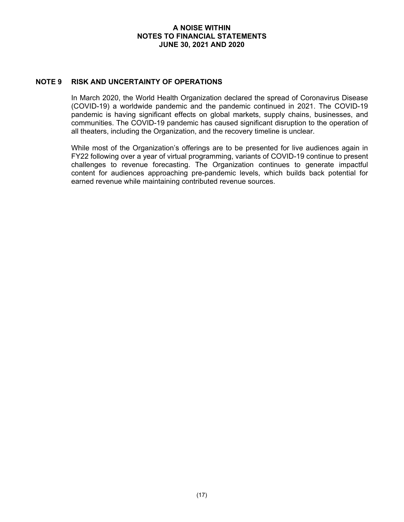### **NOTE 9 RISK AND UNCERTAINTY OF OPERATIONS**

In March 2020, the World Health Organization declared the spread of Coronavirus Disease (COVID-19) a worldwide pandemic and the pandemic continued in 2021. The COVID-19 pandemic is having significant effects on global markets, supply chains, businesses, and communities. The COVID-19 pandemic has caused significant disruption to the operation of all theaters, including the Organization, and the recovery timeline is unclear.

While most of the Organization's offerings are to be presented for live audiences again in FY22 following over a year of virtual programming, variants of COVID-19 continue to present challenges to revenue forecasting. The Organization continues to generate impactful content for audiences approaching pre-pandemic levels, which builds back potential for earned revenue while maintaining contributed revenue sources.